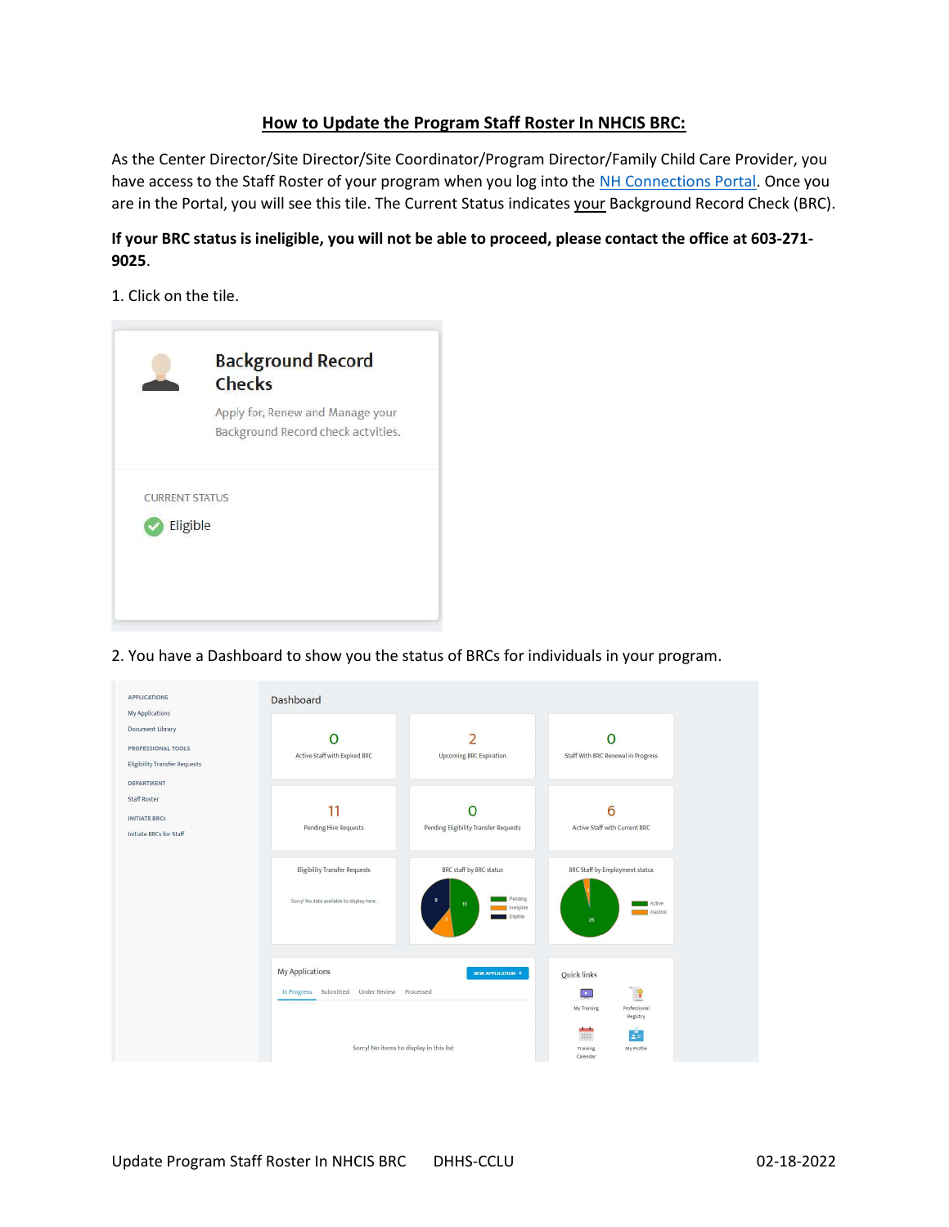## How to Update the Program Staff Roster In NHCIS BRC:

As the Center Director/Site Director/Site Coordinator/Program Director/Family Child Care Provider, you have access to the Staff Roster of your program when you log into the NH Connections Portal. Once you are in the Portal, you will see this tile. The Current Status indicates your Background Record Check (BRC).

## If your BRC status is ineligible, you will not be able to proceed, please contact the office at 603-271- 9025.

1. Click on the tile.



2. You have a Dashboard to show you the status of BRCs for individuals in your program.

| <b>APPLICATIONS</b><br>My Applications                                                      | Dashboard                                                                                                         |                                                                                    |                                                                                                                            |
|---------------------------------------------------------------------------------------------|-------------------------------------------------------------------------------------------------------------------|------------------------------------------------------------------------------------|----------------------------------------------------------------------------------------------------------------------------|
| Document Library<br><b>PROFESSIONAL TOOLS</b><br><b>Eligibility Transfer Requests</b>       | Active Staff with Expired BRC                                                                                     | h<br><b>Upcoming BRC Expiration</b>                                                | Staff With BRC Renewal in Progress                                                                                         |
| <b>DEPARTMENT</b><br><b>Staff Roster</b><br><b>INITIATE BRCs</b><br>Initiate BRCs for Staff | Pending Hire Requests                                                                                             | Pending Eligibility Transfer Requests                                              | 6<br>Active Staff with Current BRC                                                                                         |
|                                                                                             | <b>Eligibility Transfer Requests</b><br>Sorry! No data available to display here.                                 | BRC staff by BRC status<br>Pending<br>$\mathbf{9}$<br>11<br>Ineligible<br>Eligible | BRC Staff by Employment status<br>Active<br>Inactive<br>25                                                                 |
|                                                                                             | <b>My Applications</b><br>In Progress Submitted Under Review Processed<br>Sorry! No items to display in this list | NEW APPLICATION +                                                                  | Quick links<br>E<br>$\bullet$<br>Professional<br>My Training<br>Registry<br>Ŀ.<br>##<br>My Profile<br>Training<br>Calendar |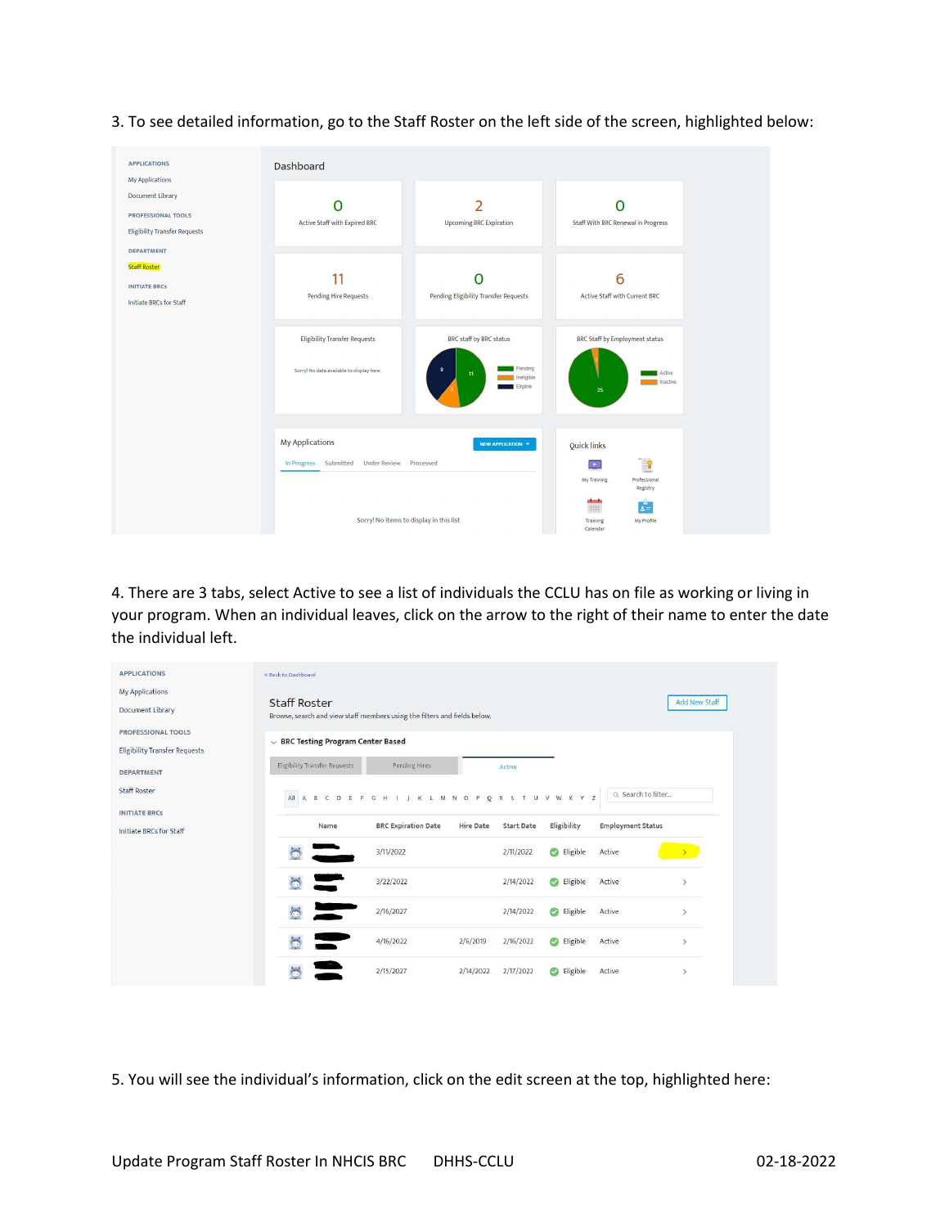APPLICATIONS Dashboard My Applications Document Library  $\overline{O}$  $\overline{2}$  $\overline{O}$ PROFESSIONAL TOOLS Active Staff with Expired BRC Upcoming BRC Expiration Staff With BRC Renewal in Progress Eligibility Transfer Requests DEPARTMENT **Staff Roster** 11  $\overline{O}$ 6 **INITIATE BRCS** Pending Hire Requests Pending Eligibility Transfer Requests Active Staff with Current BRC Initiate BRCs for Staff **Eligibility Transfer Requests** BRC staff by BRC status BRC Staff by Employment status Sorry! No data available to display her My Applications NEW APPLICATION + Quick links In Progress Submitted Under Review Processed  $\left\vert \mathbf{E}\right\vert$ My Training #  $\mathcal{L}$ Sorry! No items to display in this list My Profile

3. To see detailed information, go to the Staff Roster on the left side of the screen, highlighted below:

4. There are 3 tabs, select Active to see a list of individuals the CCLU has on file as working or living in your program. When an individual leaves, click on the arrow to the right of their name to enter the date the individual left.

| <b>APPLICATIONS</b>                                               | « Back to Dashboard                                                                              |                                 |                  |                   |                       |                          |                              |
|-------------------------------------------------------------------|--------------------------------------------------------------------------------------------------|---------------------------------|------------------|-------------------|-----------------------|--------------------------|------------------------------|
| <b>My Applications</b><br><b>Document Library</b>                 | <b>Staff Roster</b><br>Browse, search and view staff members using the filters and fields below. |                                 |                  |                   |                       |                          | <b>Add New Staff</b>         |
| <b>PROFESSIONAL TOOLS</b><br><b>Eligibility Transfer Requests</b> | $\vee$ BRC Testing Program Center Based                                                          |                                 |                  |                   |                       |                          |                              |
| <b>DEPARTMENT</b>                                                 | <b>Eligibility Transfer Requests</b>                                                             | Pending Hires                   |                  | Active            |                       |                          |                              |
| <b>Staff Roster</b>                                               | All A B C D E F G                                                                                | I K L M N O P<br>H<br><b>11</b> |                  |                   | ORSTUVWXYZ            | Q Search to filter       |                              |
| <b>INITIATE BRCS</b><br>Initiate BRCs for Staff                   | Name                                                                                             | <b>BRC Expiration Date</b>      | <b>Hire Date</b> | <b>Start Date</b> | Eligibility           | <b>Employment Status</b> |                              |
|                                                                   |                                                                                                  | 3/11/2022                       |                  | 2/11/2022         | Eligible              | Active                   |                              |
|                                                                   |                                                                                                  | 3/22/2022                       |                  | 2/14/2022         | Eligible              | Active                   | $\check{}$                   |
|                                                                   |                                                                                                  | 2/16/2027                       |                  | 2/14/2022         | Eligible              | Active                   | $\mathcal{P}$                |
|                                                                   |                                                                                                  | 4/16/2022                       | 2/6/2019         | 2/16/2022         | Eligible<br>$\bullet$ | Active                   | $\mathcal{P}$                |
|                                                                   |                                                                                                  | 2/15/2027                       | 2/14/2022        | 2/17/2022         | Eligible<br>$\bullet$ | Active                   | $\left\langle \right\rangle$ |

5. You will see the individual's information, click on the edit screen at the top, highlighted here: